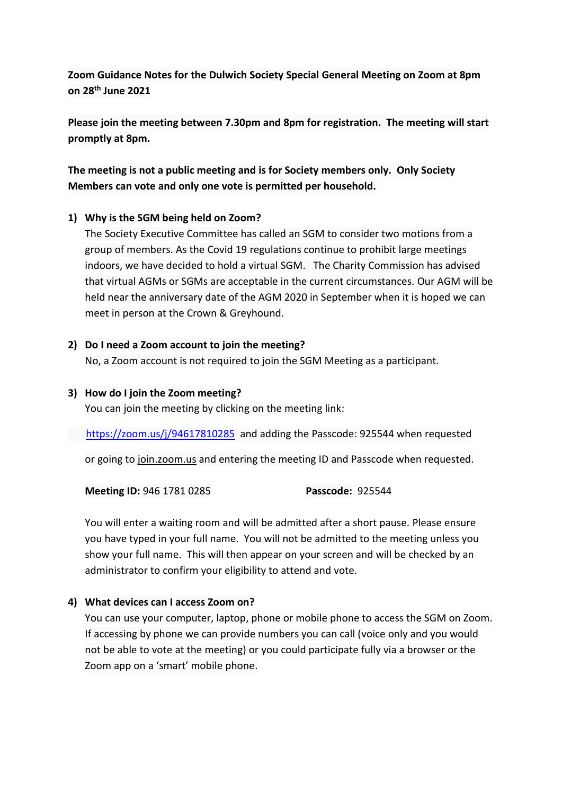**Zoom Guidance Notes for the Dulwich Society Special General Meeting on Zoom at 8pm on 28th June 2021** 

**Please join the meeting between 7.30pm and 8pm for registration. The meeting will start promptly at 8pm.**

**The meeting is not a public meeting and is for Society members only. Only Society Members can vote and only one vote is permitted per household.**

## **1) Why is the SGM being held on Zoom?**

The Society Executive Committee has called an SGM to consider two motions from a group of members. As the Covid 19 regulations continue to prohibit large meetings indoors, we have decided to hold a virtual SGM. The Charity Commission has advised that virtual AGMs or SGMs are acceptable in the current circumstances. Our AGM will be held near the anniversary date of the AGM 2020 in September when it is hoped we can meet in person at the Crown & Greyhound.

## **2) Do I need a Zoom account to join the meeting?**

No, a Zoom account is not required to join the SGM Meeting as a participant.

### **3) How do I join the Zoom meeting?**

You can join the meeting by clicking on the meeting link:

<https://zoom.us/j/94617810285>and adding the Passcode: 925544 when requested

or going to join.zoom.us and entering the meeting ID and Passcode when requested.

**Meeting ID:** 946 1781 0285 **Passcode:** 925544

You will enter a waiting room and will be admitted after a short pause. Please ensure you have typed in your full name. You will not be admitted to the meeting unless you show your full name. This will then appear on your screen and will be checked by an administrator to confirm your eligibility to attend and vote.

# **4) What devices can I access Zoom on?**

You can use your computer, laptop, phone or mobile phone to access the SGM on Zoom. If accessing by phone we can provide numbers you can call (voice only and you would not be able to vote at the meeting) or you could participate fully via a browser or the Zoom app on a 'smart' mobile phone.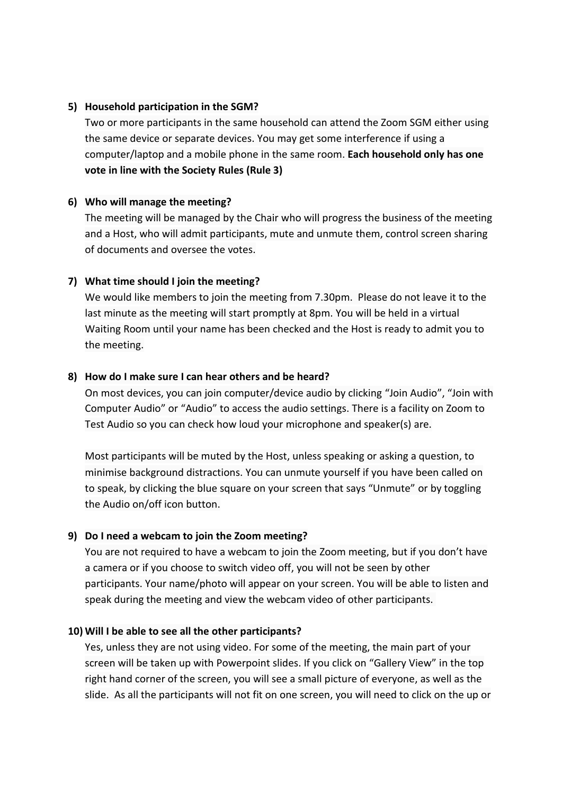### **5) Household participation in the SGM?**

Two or more participants in the same household can attend the Zoom SGM either using the same device or separate devices. You may get some interference if using a computer/laptop and a mobile phone in the same room. **Each household only has one vote in line with the Society Rules (Rule 3)**

## **6) Who will manage the meeting?**

The meeting will be managed by the Chair who will progress the business of the meeting and a Host, who will admit participants, mute and unmute them, control screen sharing of documents and oversee the votes.

## **7) What time should I join the meeting?**

We would like members to join the meeting from 7.30pm. Please do not leave it to the last minute as the meeting will start promptly at 8pm. You will be held in a virtual Waiting Room until your name has been checked and the Host is ready to admit you to the meeting.

## **8) How do I make sure I can hear others and be heard?**

On most devices, you can join computer/device audio by clicking "Join Audio", "Join with Computer Audio" or "Audio" to access the audio settings. There is a facility on Zoom to Test Audio so you can check how loud your microphone and speaker(s) are.

Most participants will be muted by the Host, unless speaking or asking a question, to minimise background distractions. You can unmute yourself if you have been called on to speak, by clicking the blue square on your screen that says "Unmute" or by toggling the Audio on/off icon button.

# **9) Do I need a webcam to join the Zoom meeting?**

You are not required to have a webcam to join the Zoom meeting, but if you don't have a camera or if you choose to switch video off, you will not be seen by other participants. Your name/photo will appear on your screen. You will be able to listen and speak during the meeting and view the webcam video of other participants.

### **10) Will I be able to see all the other participants?**

Yes, unless they are not using video. For some of the meeting, the main part of your screen will be taken up with Powerpoint slides. If you click on "Gallery View" in the top right hand corner of the screen, you will see a small picture of everyone, as well as the slide. As all the participants will not fit on one screen, you will need to click on the up or